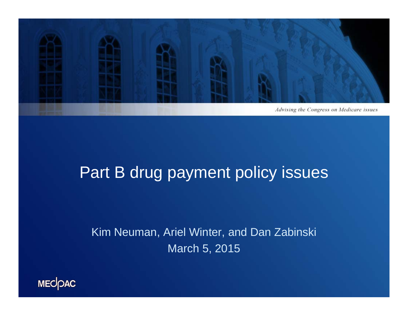

#### Part B drug payment policy issues

Kim Neuman, Ariel Winter, and Dan Zabinski March 5, 2015

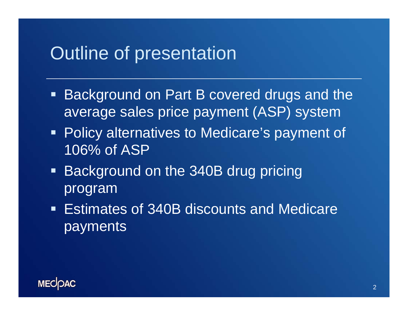#### Outline of presentation

- Background on Part B covered drugs and the average sales price payment (ASP) system
- **Policy alternatives to Medicare's payment of** 106% of ASP
- **Background on the 340B drug pricing** program
- Estimates of 340B discounts and Medicare payments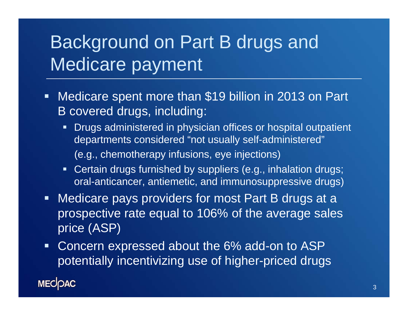## Background on Part B drugs and Medicare payment

- П Medicare spent more than \$19 billion in 2013 on Part B covered drugs, including:
	- $\blacksquare$  Drugs administered in physician offices or hospital outpatient departments considered "not usually self-administered" (e.g., chemotherapy infusions, eye injections)
	- Certain drugs furnished by suppliers (e.g., inhalation drugs; oral-anticancer, antiemetic, and immunosuppressive drugs)
- $\blacksquare$  Medicare pays providers for most Part B drugs at a prospective rate equal to 106% of the average sales price (ASP)
- $\blacksquare$  Concern expressed about the 6% add-on to ASP potentially incentivizing use of higher-priced drugs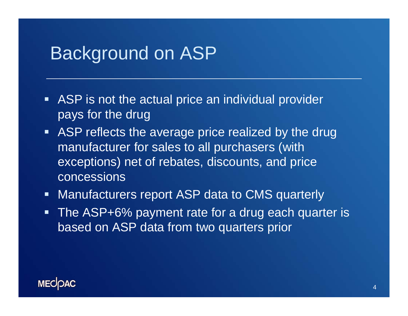#### Background on ASP

- **ASP** is not the actual price an individual provider pays for the drug
- **ASP reflects the average price realized by the drug** manufacturer for sales to all purchasers (with exceptions) net of rebates, discounts, and price concessions
- $\blacksquare$ Manufacturers report ASP data to CMS quarterly
- $\blacksquare$  The ASP+6% payment rate for a drug each quarter is based on ASP data from two quarters prior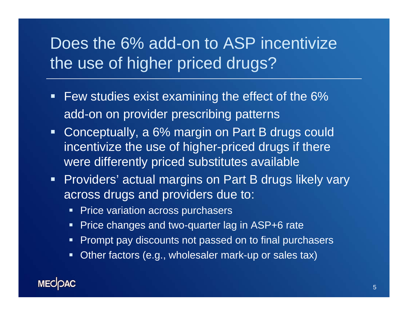### Does the 6% add-on to ASP incentivize the use of higher priced drugs?

- $\blacksquare$  Few studies exist examining the effect of the 6% add-on on provider prescribing patterns
- **Conceptually, a 6% margin on Part B drugs could** incentivize the use of higher-priced drugs if there were differently priced substitutes available
- **Providers' actual margins on Part B drugs likely vary** across drugs and providers due to:
	- **Price variation across purchasers**
	- Price changes and two-quarter lag in ASP+6 rate
	- **Prompt pay discounts not passed on to final purchasers**
	- $\blacksquare$  . Other factors (e.g., wholesaler mark-up or sales tax)

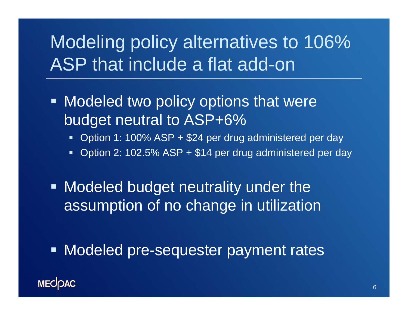## Modeling policy alternatives to 106% ASP that include a flat add-on

- **Modeled two policy options that were** budget neutral to ASP+6%
	- Option 1: 100% ASP + \$24 per drug administered per day
	- Option 2: 102.5% ASP + \$14 per drug administered per day
- **Modeled budget neutrality under the** assumption of no change in utilization
- **Modeled pre-sequester payment rates**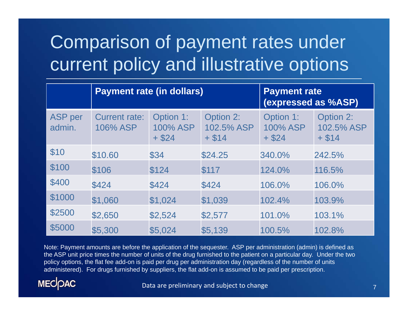# Comparison of payment rates under current policy and illustrative options

|                          | <b>Payment rate (in dollars)</b>        |                                   |                                     | <b>Payment rate</b><br>(expressed as %ASP) |                                     |
|--------------------------|-----------------------------------------|-----------------------------------|-------------------------------------|--------------------------------------------|-------------------------------------|
| <b>ASP</b> per<br>admin. | <b>Current rate:</b><br><b>106% ASP</b> | Option 1:<br>100% ASP<br>$+$ \$24 | Option 2:<br>102.5% ASP<br>$+$ \$14 | Option 1:<br>100% ASP<br>$+$ \$24          | Option 2:<br>102.5% ASP<br>$+$ \$14 |
| \$10                     | \$10.60                                 | \$34                              | \$24.25                             | 340.0%                                     | 242.5%                              |
| \$100                    | \$106                                   | \$124                             | \$117                               | 124.0%                                     | 116.5%                              |
| \$400                    | \$424                                   | \$424                             | \$424                               | 106.0%                                     | 106.0%                              |
| \$1000                   | \$1,060                                 | \$1,024                           | \$1,039                             | 102.4%                                     | 103.9%                              |
| \$2500                   | \$2,650                                 | \$2,524                           | \$2,577                             | 101.0%                                     | 103.1%                              |
| \$5000                   | \$5,300                                 | \$5,024                           | \$5,139                             | 100.5%                                     | 102.8%                              |

Note: Payment amounts are before the application of the sequester. ASP per administration (admin) is defined as the ASP unit price times the number of units of the drug furnished to the patient on a particular day. Under the two policy options, the flat fee add-on is paid per drug per administration day (regardless of the number of units administered). For drugs furnished by suppliers, the flat add-on is assumed to be paid per prescription.



Data are preliminary and subject to change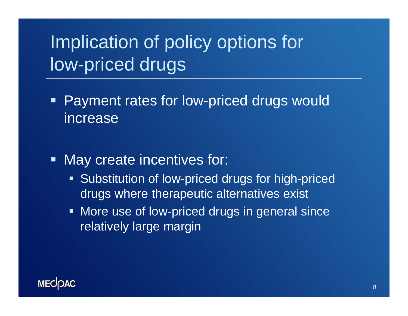# Implication of policy options for low-priced drugs

- Ξ Payment rates for low-priced drugs would increase
- Ξ May create incentives for:
	- **Substitution of low-priced drugs for high-priced** drugs where therapeutic alternatives exist
	- **More use of low-priced drugs in general since** relatively large margin

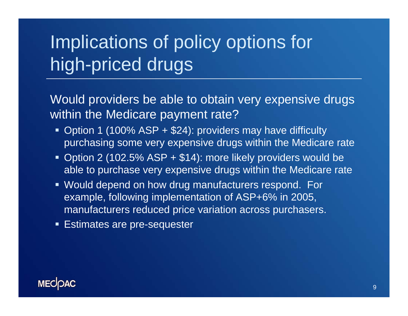# Implications of policy options for high-priced drugs

Would providers be able to obtain very expensive drugs within the Medicare payment rate?

- Option 1 (100% ASP + \$24): providers may have difficulty purchasing some very expensive drugs within the Medicare rate
- Option 2 (102.5% ASP + \$14): more likely providers would be able to purchase very expensive drugs within the Medicare rate
- Would depend on how drug manufacturers respond. For example, following implementation of ASP+6% in 2005, manufacturers reduced price variation across purchasers.
- **Estimates are pre-sequester**

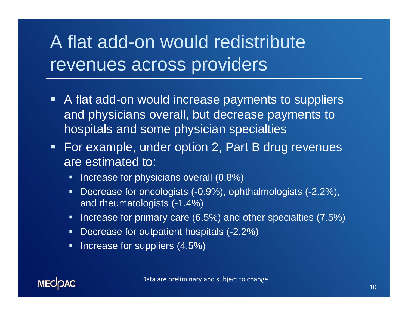## A flat add-on would redistribute revenues across providers

- A flat add-on would increase payments to suppliers and physicians overall, but decrease payments to hospitals and some physician specialties
- **For example, under option 2, Part B drug revenues** are estimated to:
	- $\blacksquare$ Increase for physicians overall (0.8%)
	- $\blacksquare$  Decrease for oncologists (-0.9%), ophthalmologists (-2.2%), and rheumatologists (-1.4%)
	- **If the Increase for primary care (6.5%) and other specialties (7.5%)**
	- **Decrease for outpatient hospitals (-2.2%)**
	- $\blacksquare$ Increase for suppliers (4.5%)

**MECOAC** 

10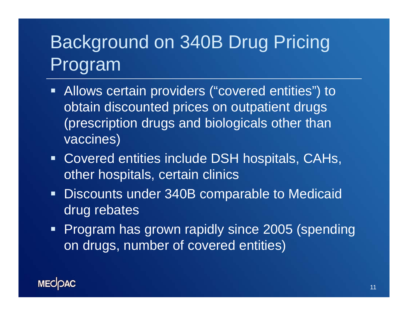# Background on 340B Drug Pricing Program

- **Allows certain providers ("covered entities") to** obtain discounted prices on outpatient drugs (prescription drugs and biologicals other than vaccines)
- Covered entities include DSH hospitals, CAHs, other hospitals, certain clinics
- Ξ Discounts under 340B comparable to Medicaid drug rebates
- **Program has grown rapidly since 2005 (spending** on drugs, number of covered entities)

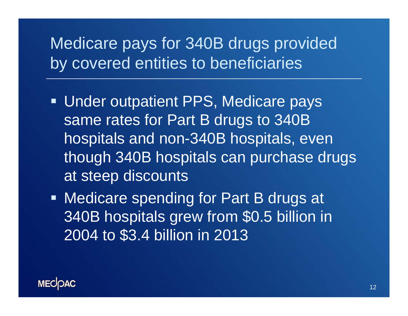### Medicare pays for 340B drugs provided by covered entities to beneficiaries

- **Under outpatient PPS, Medicare pays** same rates for Part B drugs to 340B hospitals and non-340B hospitals, even though 340B hospitals can purchase drugs at steep discounts
- **Medicare spending for Part B drugs at** 340B hospitals grew from \$0.5 billion in 2004 to \$3.4 billion in 2013

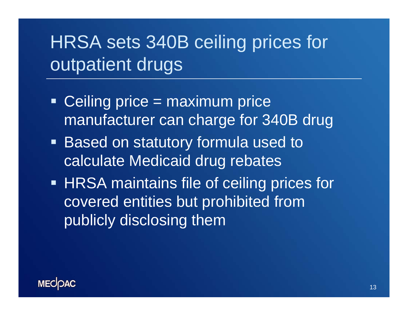## HRSA sets 340B ceiling prices for outpatient drugs

- Ceiling price = maximum price manufacturer can charge for 340B drug
- Based on statutory formula used to calculate Medicaid drug rebates
- **HRSA maintains file of ceiling prices for** covered entities but prohibited from publicly disclosing them

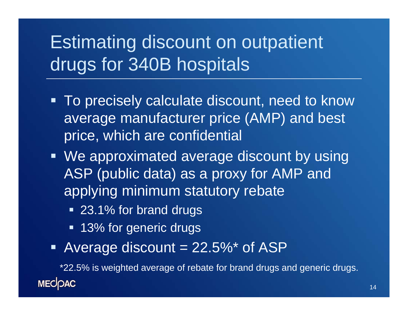## Estimating discount on outpatient drugs for 340B hospitals

- Ξ To precisely calculate discount, need to know average manufacturer price (AMP) and best price, which are confidential
- We approximated average discount by using ASP (public data) as a proxy for AMP and applying minimum statutory rebate
	- 23.1% for brand drugs
	- **13% for generic drugs**
- Average discount = 22.5%\* of ASP

\*22.5% is weighted average of rebate for brand drugs and generic drugs.**MECOAC**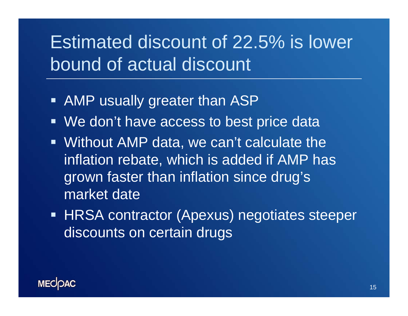## Estimated discount of 22.5% is lower bound of actual discount

- **AMP** usually greater than ASP
- We don't have access to best price data
- Without AMP data, we can't calculate the inflation rebate, which is added if AMP has grown faster than inflation since drug's market date
- **HRSA contractor (Apexus) negotiates steeper** discounts on certain drugs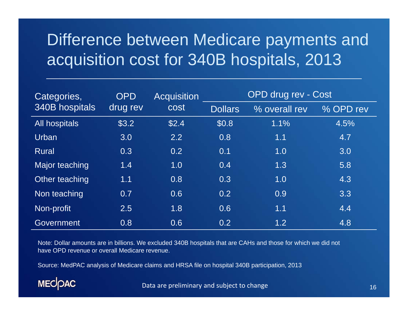### Difference between Medicare payments and acquisition cost for 340B hospitals, 2013

| Categories,    | <b>OPD</b><br>drug rev | <b>Acquisition</b><br><b>cost</b> | OPD drug rev - Cost |               |           |
|----------------|------------------------|-----------------------------------|---------------------|---------------|-----------|
| 340B hospitals |                        |                                   | <b>Dollars</b>      | % overall rev | % OPD rev |
| All hospitals  | \$3.2                  | \$2.4                             | \$0.8               | 1.1%          | 4.5%      |
| Urban          | 3.0                    | 2.2                               | 0.8                 | 1.1           | 4.7       |
| <b>Rural</b>   | 0.3                    | 0.2                               | 0.1                 | 1.0           | 3.0       |
| Major teaching | 1.4                    | 1.0                               | 0.4                 | 1.3           | 5.8       |
| Other teaching | 1.1                    | 0.8                               | 0.3                 | 1.0           | 4.3       |
| Non teaching   | 0.7                    | 0.6                               | 0.2                 | 0.9           | 3.3       |
| Non-profit     | 2.5                    | 1.8                               | 0.6                 | 1.1           | 4.4       |
| Government     | 0.8                    | 0.6                               | 0.2                 | 1.2           | 4.8       |

Note: Dollar amounts are in billions. We excluded 340B hospitals that are CAHs and those for which we did not have OPD revenue or overall Medicare revenue.

Source: MedPAC analysis of Medicare claims and HRSA file on hospital 340B participation, 2013



Data are preliminary and subject to change